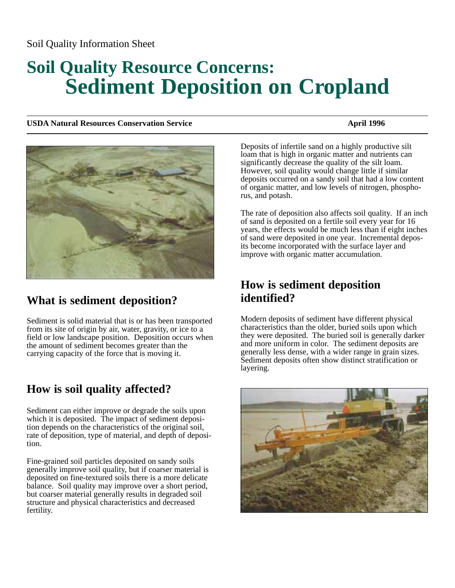#### Soil Quality Information Sheet

# **Soil Quality Resource Concerns: Sediment Deposition on Cropland**

**USDA Natural Resources Conservation Service April 1996** April 1996



## **What is sediment deposition?**

Sediment is solid material that is or has been transported from its site of origin by air, water, gravity, or ice to a field or low landscape position. Deposition occurs when the amount of sediment becomes greater than the carrying capacity of the force that is moving it.

## **How is soil quality affected?**

Sediment can either improve or degrade the soils upon which it is deposited. The impact of sediment deposition depends on the characteristics of the original soil, rate of deposition, type of material, and depth of deposition.

Fine-grained soil particles deposited on sandy soils generally improve soil quality, but if coarser material is deposited on fine-textured soils there is a more delicate balance. Soil quality may improve over a short period, but coarser material generally results in degraded soil structure and physical characteristics and decreased fertility.

Deposits of infertile sand on a highly productive silt loam that is high in organic matter and nutrients can significantly decrease the quality of the silt loam. However, soil quality would change little if similar deposits occurred on a sandy soil that had a low content of organic matter, and low levels of nitrogen, phosphorus, and potash.

The rate of deposition also affects soil quality. If an inch of sand is deposited on a fertile soil every year for 16 years, the effects would be much less than if eight inches of sand were deposited in one year. Incremental deposits become incorporated with the surface layer and improve with organic matter accumulation.

#### **How is sediment deposition identified?**

Modern deposits of sediment have different physical characteristics than the older, buried soils upon which they were deposited. The buried soil is generally darker and more uniform in color. The sediment deposits are generally less dense, with a wider range in grain sizes. Sediment deposits often show distinct stratification or layering.